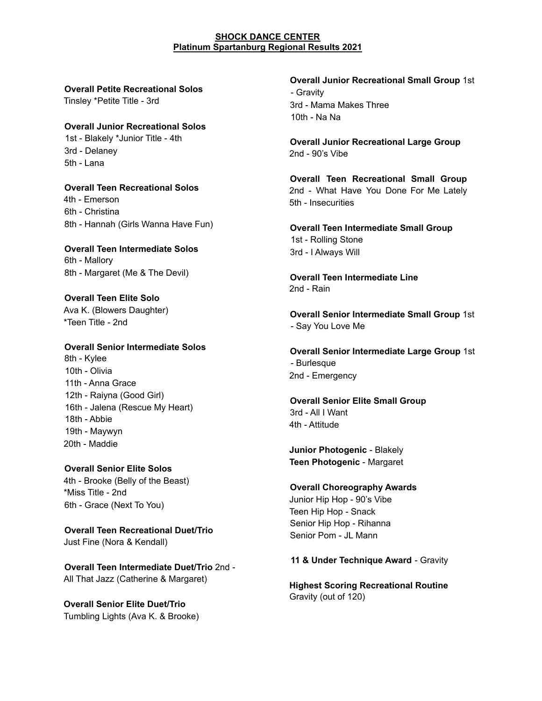## **SHOCK DANCE CENTER Platinum Spartanburg Regional Results 2021**

**Overall Petite Recreational Solos**

Tinsley \*Petite Title - 3rd

**Overall Junior Recreational Solos** 1st - Blakely \*Junior Title - 4th

3rd - Delaney 5th - Lana

**Overall Teen Recreational Solos** 4th - Emerson 6th - Christina 8th - Hannah (Girls Wanna Have Fun)

**Overall Teen Intermediate Solos** 6th - Mallory 8th - Margaret (Me & The Devil)

**Overall Teen Elite Solo** Ava K. (Blowers Daughter) \*Teen Title - 2nd

**Overall Senior Intermediate Solos** 8th - Kylee 10th - Olivia 11th - Anna Grace 12th - Raiyna (Good Girl) 16th - Jalena (Rescue My Heart) 18th - Abbie 19th - Maywyn 20th - Maddie

**Overall Senior Elite Solos** 4th - Brooke (Belly of the Beast) \*Miss Title - 2nd 6th - Grace (Next To You)

**Overall Teen Recreational Duet/Trio** Just Fine (Nora & Kendall)

**Overall Teen Intermediate Duet/Trio** 2nd - All That Jazz (Catherine & Margaret)

**Overall Senior Elite Duet/Trio** Tumbling Lights (Ava K. & Brooke) **Overall Junior Recreational Small Group** 1st - Gravity 3rd - Mama Makes Three 10th - Na Na

**Overall Junior Recreational Large Group** 2nd - 90's Vibe

**Overall Teen Recreational Small Group** 2nd - What Have You Done For Me Lately 5th - Insecurities

**Overall Teen Intermediate Small Group** 1st - Rolling Stone 3rd - I Always Will

**Overall Teen Intermediate Line** 2nd - Rain

**Overall Senior Intermediate Small Group** 1st - Say You Love Me

**Overall Senior Intermediate Large Group** 1st - Burlesque 2nd - Emergency

**Overall Senior Elite Small Group** 3rd - All I Want 4th - Attitude

**Junior Photogenic** - Blakely **Teen Photogenic** - Margaret

**Overall Choreography Awards** Junior Hip Hop - 90's Vibe Teen Hip Hop - Snack Senior Hip Hop - Rihanna Senior Pom - JL Mann

**11 & Under Technique Award** - Gravity

**Highest Scoring Recreational Routine** Gravity (out of 120)